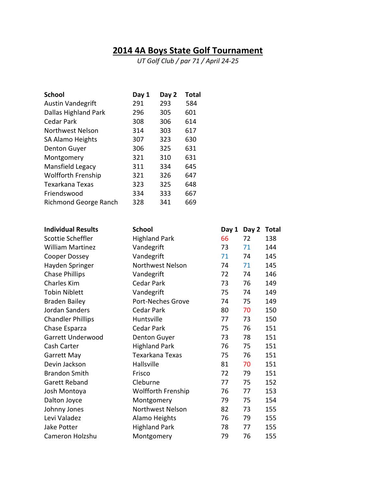## **2014 4A Boys State Golf Tournament**

*UT Golf Club / par 71 / April 24-25*

| <b>School</b>               | Day 1 | Day 2 | <b>Total</b> |
|-----------------------------|-------|-------|--------------|
| <b>Austin Vandegrift</b>    | 291   | 293   | 584          |
| <b>Dallas Highland Park</b> | 296   | 305   | 601          |
| Cedar Park                  | 308   | 306   | 614          |
| Northwest Nelson            | 314   | 303   | 617          |
| SA Alamo Heights            | 307   | 323   | 630          |
| Denton Guyer                | 306   | 325   | 631          |
| Montgomery                  | 321   | 310   | 631          |
| Mansfield Legacy            | 311   | 334   | 645          |
| <b>Wolfforth Frenship</b>   | 321   | 326   | 647          |
| Texarkana Texas             | 323   | 325   | 648          |
| Friendswood                 | 334   | 333   | 667          |
| Richmond George Ranch       | 328   | 341   | 669          |

| <b>Individual Results</b> | <b>School</b>        | Day 1 | Day 2 | <b>Total</b> |
|---------------------------|----------------------|-------|-------|--------------|
| Scottie Scheffler         | <b>Highland Park</b> | 66    | 72    | 138          |
| <b>William Martinez</b>   | Vandegrift           | 73    | 71    | 144          |
| Cooper Dossey             | Vandegrift           | 71    | 74    | 145          |
| Hayden Springer           | Northwest Nelson     | 74    | 71    | 145          |
| <b>Chase Phillips</b>     | Vandegrift           | 72    | 74    | 146          |
| <b>Charles Kim</b>        | Cedar Park           | 73    | 76    | 149          |
| <b>Tobin Niblett</b>      | Vandegrift           | 75    | 74    | 149          |
| <b>Braden Bailey</b>      | Port-Neches Grove    | 74    | 75    | 149          |
| Jordan Sanders            | <b>Cedar Park</b>    | 80    | 70    | 150          |
| <b>Chandler Phillips</b>  | Huntsville           | 77    | 73    | 150          |
| Chase Esparza             | <b>Cedar Park</b>    | 75    | 76    | 151          |
| Garrett Underwood         | Denton Guyer         | 73    | 78    | 151          |
| Cash Carter               | <b>Highland Park</b> | 76    | 75    | 151          |
| Garrett May               | Texarkana Texas      | 75    | 76    | 151          |
| Devin Jackson             | Hallsville           | 81    | 70    | 151          |
| <b>Brandon Smith</b>      | Frisco               | 72    | 79    | 151          |
| Garett Reband             | Cleburne             | 77    | 75    | 152          |
| Josh Montoya              | Wolfforth Frenship   | 76    | 77    | 153          |
| Dalton Joyce              | Montgomery           | 79    | 75    | 154          |
| Johnny Jones              | Northwest Nelson     | 82    | 73    | 155          |
| Levi Valadez              | Alamo Heights        | 76    | 79    | 155          |
| Jake Potter               | <b>Highland Park</b> | 78    | 77    | 155          |
| Cameron Holzshu           | Montgomery           | 79    | 76    | 155          |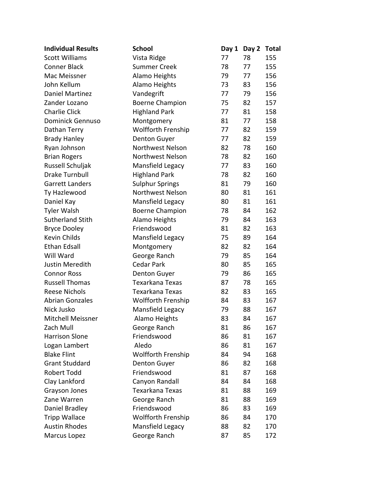| <b>Individual Results</b> | <b>School</b>          | Day 1 | Day 2 Total |     |
|---------------------------|------------------------|-------|-------------|-----|
| <b>Scott Williams</b>     | Vista Ridge            | 77    | 78          | 155 |
| <b>Conner Black</b>       | <b>Summer Creek</b>    | 78    | 77          | 155 |
| Mac Meissner              | Alamo Heights          | 79    | 77          | 156 |
| John Kellum               | Alamo Heights          | 73    | 83          | 156 |
| Daniel Martinez           | Vandegrift             | 77    | 79          | 156 |
| Zander Lozano             | <b>Boerne Champion</b> | 75    | 82          | 157 |
| <b>Charlie Click</b>      | <b>Highland Park</b>   | 77    | 81          | 158 |
| <b>Dominick Gennuso</b>   | Montgomery             | 81    | 77          | 158 |
| Dathan Terry              | Wolfforth Frenship     | 77    | 82          | 159 |
| <b>Brady Hanley</b>       | Denton Guyer           | 77    | 82          | 159 |
| Ryan Johnson              | Northwest Nelson       | 82    | 78          | 160 |
| <b>Brian Rogers</b>       | Northwest Nelson       | 78    | 82          | 160 |
| Russell Schuljak          | Mansfield Legacy       | 77    | 83          | 160 |
| Drake Turnbull            | <b>Highland Park</b>   | 78    | 82          | 160 |
| Garrett Landers           | <b>Sulphur Springs</b> | 81    | 79          | 160 |
| Ty Hazlewood              | Northwest Nelson       | 80    | 81          | 161 |
| Daniel Kay                | Mansfield Legacy       | 80    | 81          | 161 |
| <b>Tyler Walsh</b>        | <b>Boerne Champion</b> | 78    | 84          | 162 |
| <b>Sutherland Stith</b>   | Alamo Heights          | 79    | 84          | 163 |
| <b>Bryce Dooley</b>       | Friendswood            | 81    | 82          | 163 |
| Kevin Childs              | Mansfield Legacy       | 75    | 89          | 164 |
| <b>Ethan Edsall</b>       | Montgomery             | 82    | 82          | 164 |
| Will Ward                 | George Ranch           | 79    | 85          | 164 |
| Justin Meredith           | Cedar Park             | 80    | 85          | 165 |
| <b>Connor Ross</b>        | <b>Denton Guyer</b>    | 79    | 86          | 165 |
| <b>Russell Thomas</b>     | Texarkana Texas        | 87    | 78          | 165 |
| <b>Reese Nichols</b>      | Texarkana Texas        | 82    | 83          | 165 |
| <b>Abrian Gonzales</b>    | Wolfforth Frenship     | 84    | 83          | 167 |
| Nick Jusko                | Mansfield Legacy       | 79    | 88          | 167 |
| Mitchell Meissner         | Alamo Heights          | 83    | 84          | 167 |
| Zach Mull                 | George Ranch           | 81    | 86          | 167 |
| <b>Harrison Slone</b>     | Friendswood            | 86    | 81          | 167 |
| Logan Lambert             | Aledo                  | 86    | 81          | 167 |
| <b>Blake Flint</b>        | Wolfforth Frenship     | 84    | 94          | 168 |
| <b>Grant Studdard</b>     | Denton Guyer           | 86    | 82          | 168 |
| Robert Todd               | Friendswood            | 81    | 87          | 168 |
| Clay Lankford             | Canyon Randall         | 84    | 84          | 168 |
| Grayson Jones             | Texarkana Texas        | 81    | 88          | 169 |
| Zane Warren               | George Ranch           | 81    | 88          | 169 |
| Daniel Bradley            | Friendswood            | 86    | 83          | 169 |
| <b>Tripp Wallace</b>      | Wolfforth Frenship     | 86    | 84          | 170 |
| <b>Austin Rhodes</b>      | Mansfield Legacy       | 88    | 82          | 170 |
| Marcus Lopez              | George Ranch           | 87    | 85          | 172 |